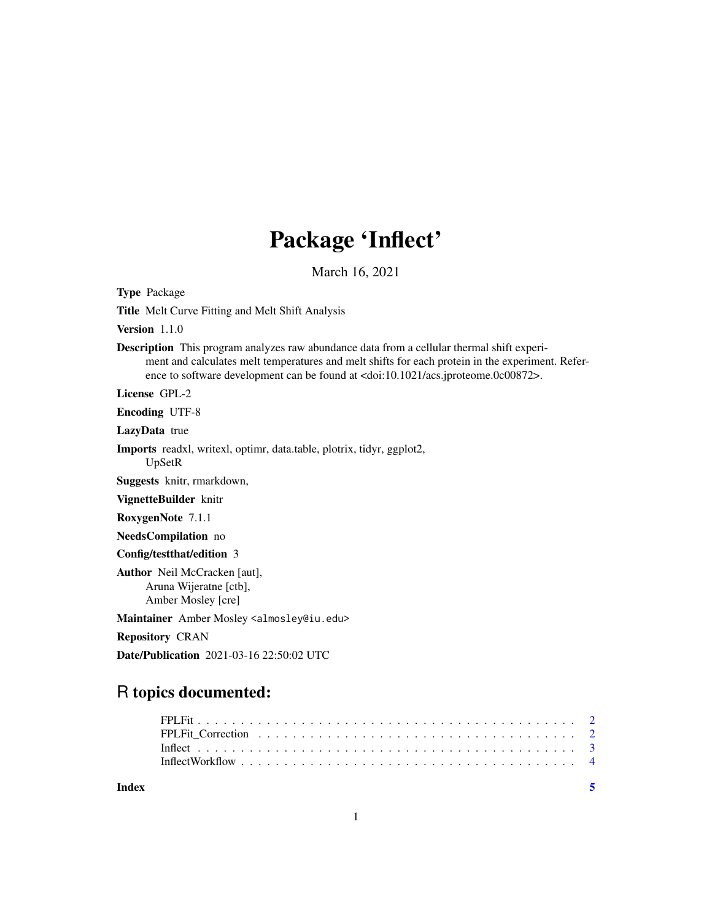## Package 'Inflect'

March 16, 2021

Type Package Title Melt Curve Fitting and Melt Shift Analysis Version 1.1.0 Description This program analyzes raw abundance data from a cellular thermal shift experiment and calculates melt temperatures and melt shifts for each protein in the experiment. Reference to software development can be found at <doi:10.1021/acs.jproteome.0c00872>. License GPL-2 Encoding UTF-8 LazyData true Imports readxl, writexl, optimr, data.table, plotrix, tidyr, ggplot2, UpSetR Suggests knitr, rmarkdown, VignetteBuilder knitr RoxygenNote 7.1.1 NeedsCompilation no Config/testthat/edition 3 Author Neil McCracken [aut], Aruna Wijeratne [ctb], Amber Mosley [cre] Maintainer Amber Mosley <almosley@iu.edu> Repository CRAN Date/Publication 2021-03-16 22:50:02 UTC

### R topics documented:

| Index | - 5 |  |
|-------|-----|--|
|       |     |  |
|       |     |  |
|       |     |  |
|       |     |  |

1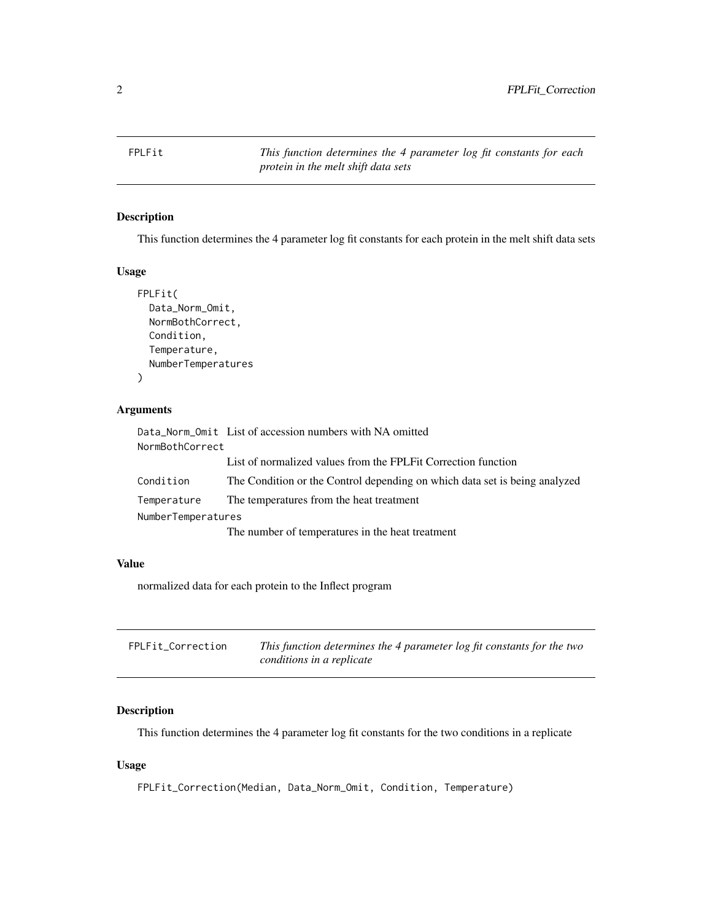<span id="page-1-0"></span>FPLFit *This function determines the 4 parameter log fit constants for each protein in the melt shift data sets*

#### Description

This function determines the 4 parameter log fit constants for each protein in the melt shift data sets

#### Usage

```
FPLFit(
Data_Norm_Omit,
NormBothCorrect,
Condition,
 Temperature,
NumberTemperatures
```
#### Arguments

)

|                    | Data_Norm_Omit List of accession numbers with NA omitted                   |
|--------------------|----------------------------------------------------------------------------|
| NormBothCorrect    |                                                                            |
|                    | List of normalized values from the FPLF it Correction function             |
| Condition          | The Condition or the Control depending on which data set is being analyzed |
| Temperature        | The temperatures from the heat treatment                                   |
| NumberTemperatures |                                                                            |
|                    | The number of temperatures in the heat treatment                           |

#### Value

normalized data for each protein to the Inflect program

| FPLFit_Correction | This function determines the 4 parameter log fit constants for the two |
|-------------------|------------------------------------------------------------------------|
|                   | conditions in a replicate                                              |

#### Description

This function determines the 4 parameter log fit constants for the two conditions in a replicate

#### Usage

FPLFit\_Correction(Median, Data\_Norm\_Omit, Condition, Temperature)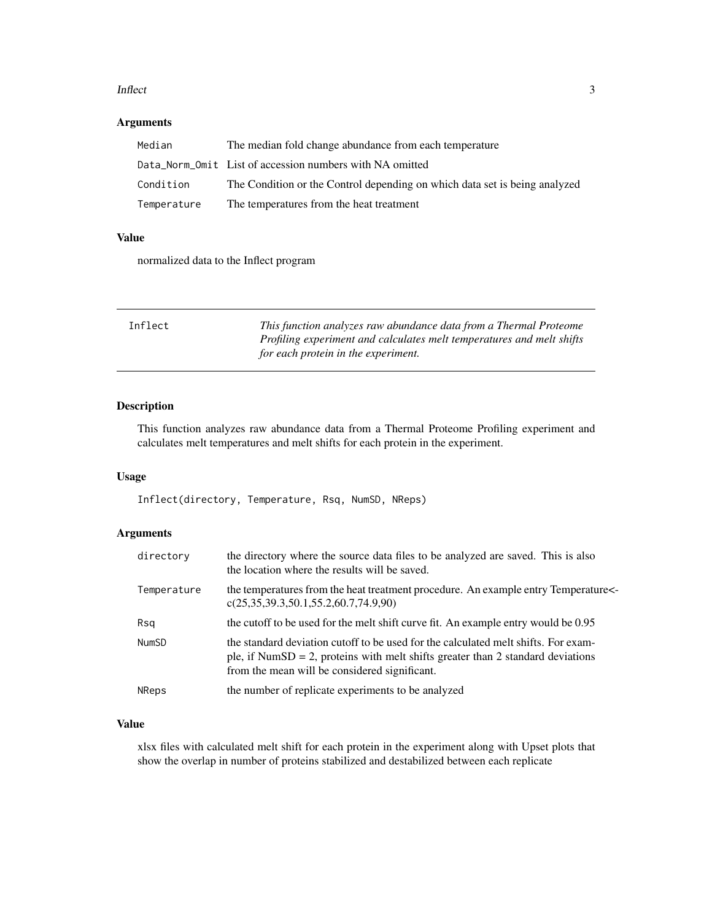#### <span id="page-2-0"></span>Inflect 3

#### Arguments

| Median      | The median fold change abundance from each temperature                     |
|-------------|----------------------------------------------------------------------------|
|             | Data_Norm_0mit List of accession numbers with NA omitted                   |
| Condition   | The Condition or the Control depending on which data set is being analyzed |
| Temperature | The temperatures from the heat treatment                                   |

#### Value

normalized data to the Inflect program

| Inflect | This function analyzes raw abundance data from a Thermal Proteome     |
|---------|-----------------------------------------------------------------------|
|         | Profiling experiment and calculates melt temperatures and melt shifts |
|         | for each protein in the experiment.                                   |

#### Description

This function analyzes raw abundance data from a Thermal Proteome Profiling experiment and calculates melt temperatures and melt shifts for each protein in the experiment.

#### Usage

Inflect(directory, Temperature, Rsq, NumSD, NReps)

#### Arguments

| directory    | the directory where the source data files to be analyzed are saved. This is also<br>the location where the results will be saved.                                                                                      |
|--------------|------------------------------------------------------------------------------------------------------------------------------------------------------------------------------------------------------------------------|
| Temperature  | the temperatures from the heat treatment procedure. An example entry Temperature<br>c(25,35,39.3,50.1,55.2,60.7,74.9,90)                                                                                               |
| Rsa          | the cutoff to be used for the melt shift curve fit. An example entry would be 0.95                                                                                                                                     |
| <b>NumSD</b> | the standard deviation cutoff to be used for the calculated melt shifts. For exam-<br>ple, if NumSD = 2, proteins with melt shifts greater than 2 standard deviations<br>from the mean will be considered significant. |
| <b>NReps</b> | the number of replicate experiments to be analyzed                                                                                                                                                                     |

#### Value

xlsx files with calculated melt shift for each protein in the experiment along with Upset plots that show the overlap in number of proteins stabilized and destabilized between each replicate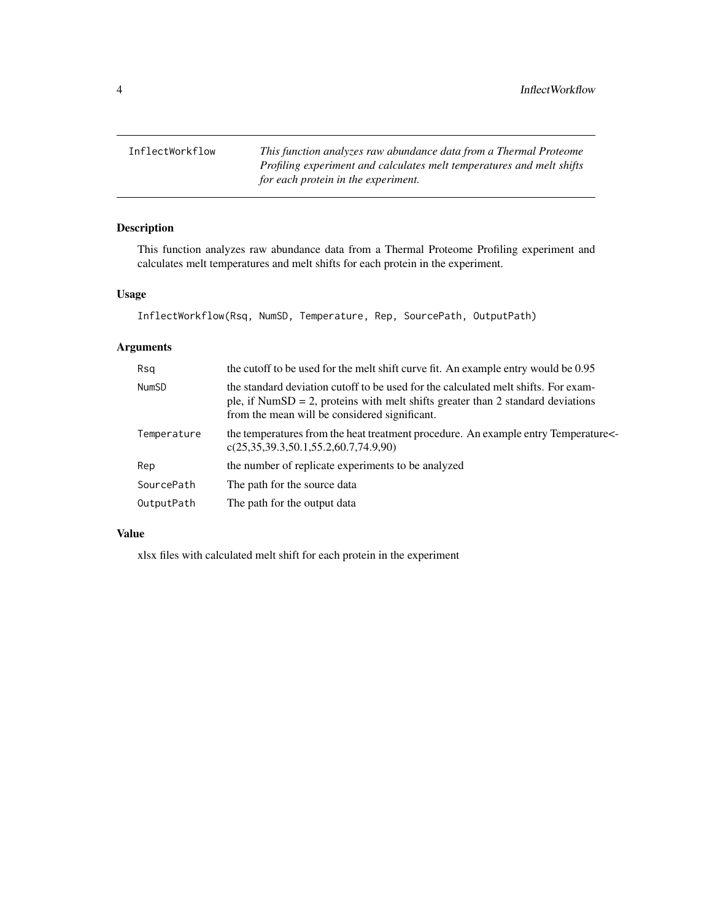<span id="page-3-0"></span>InflectWorkflow *This function analyzes raw abundance data from a Thermal Proteome Profiling experiment and calculates melt temperatures and melt shifts for each protein in the experiment.*

#### Description

This function analyzes raw abundance data from a Thermal Proteome Profiling experiment and calculates melt temperatures and melt shifts for each protein in the experiment.

#### Usage

InflectWorkflow(Rsq, NumSD, Temperature, Rep, SourcePath, OutputPath)

#### Arguments

| Rsa          | the cutoff to be used for the melt shift curve fit. An example entry would be 0.95                                                                                                                                     |
|--------------|------------------------------------------------------------------------------------------------------------------------------------------------------------------------------------------------------------------------|
| <b>NumSD</b> | the standard deviation cutoff to be used for the calculated melt shifts. For exam-<br>ple, if NumSD = 2, proteins with melt shifts greater than 2 standard deviations<br>from the mean will be considered significant. |
| Temperature  | the temperatures from the heat treatment procedure. An example entry Temperature<br>c(25,35,39.3,50.1,55.2,60.7,74.9,90)                                                                                               |
| Rep          | the number of replicate experiments to be analyzed                                                                                                                                                                     |
| SourcePath   | The path for the source data                                                                                                                                                                                           |
| OutputPath   | The path for the output data                                                                                                                                                                                           |

#### Value

xlsx files with calculated melt shift for each protein in the experiment